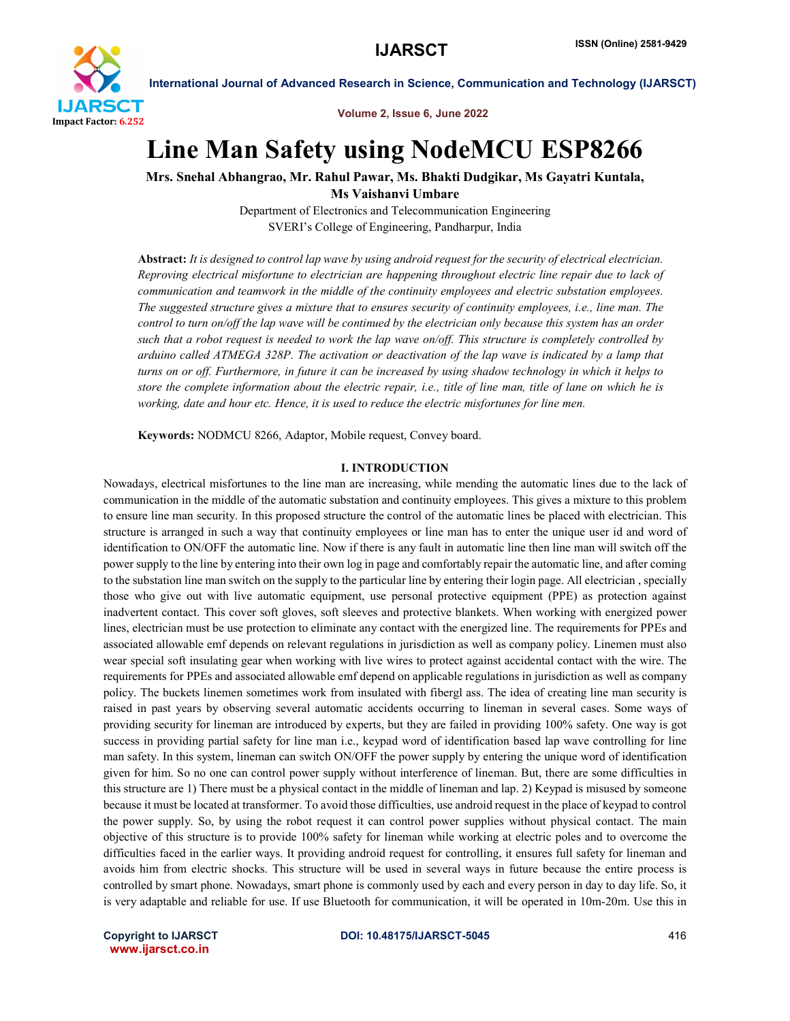

Volume 2, Issue 6, June 2022

# Line Man Safety using NodeMCU ESP8266

Mrs. Snehal Abhangrao, Mr. Rahul Pawar, Ms. Bhakti Dudgikar, Ms Gayatri Kuntala, Ms Vaishanvi Umbare

> Department of Electronics and Telecommunication Engineering SVERI's College of Engineering, Pandharpur, India

Abstract: *It is designed to control lap wave by using android request for the security of electrical electrician. Reproving electrical misfortune to electrician are happening throughout electric line repair due to lack of communication and teamwork in the middle of the continuity employees and electric substation employees. The suggested structure gives a mixture that to ensures security of continuity employees, i.e., line man. The control to turn on/off the lap wave will be continued by the electrician only because this system has an order such that a robot request is needed to work the lap wave on/off. This structure is completely controlled by arduino called ATMEGA 328P. The activation or deactivation of the lap wave is indicated by a lamp that turns on or off. Furthermore, in future it can be increased by using shadow technology in which it helps to store the complete information about the electric repair, i.e., title of line man, title of lane on which he is working, date and hour etc. Hence, it is used to reduce the electric misfortunes for line men.*

Keywords: NODMCU 8266, Adaptor, Mobile request, Convey board.

#### I. INTRODUCTION

Nowadays, electrical misfortunes to the line man are increasing, while mending the automatic lines due to the lack of communication in the middle of the automatic substation and continuity employees. This gives a mixture to this problem to ensure line man security. In this proposed structure the control of the automatic lines be placed with electrician. This structure is arranged in such a way that continuity employees or line man has to enter the unique user id and word of identification to ON/OFF the automatic line. Now if there is any fault in automatic line then line man will switch off the power supply to the line by entering into their own log in page and comfortably repair the automatic line, and after coming to the substation line man switch on the supply to the particular line by entering their login page. All electrician , specially those who give out with live automatic equipment, use personal protective equipment (PPE) as protection against inadvertent contact. This cover soft gloves, soft sleeves and protective blankets. When working with energized power lines, electrician must be use protection to eliminate any contact with the energized line. The requirements for PPEs and associated allowable emf depends on relevant regulations in jurisdiction as well as company policy. Linemen must also wear special soft insulating gear when working with live wires to protect against accidental contact with the wire. The requirements for PPEs and associated allowable emf depend on applicable regulations in jurisdiction as well as company policy. The buckets linemen sometimes work from insulated with fibergl ass. The idea of creating line man security is raised in past years by observing several automatic accidents occurring to lineman in several cases. Some ways of providing security for lineman are introduced by experts, but they are failed in providing 100% safety. One way is got success in providing partial safety for line man i.e., keypad word of identification based lap wave controlling for line man safety. In this system, lineman can switch ON/OFF the power supply by entering the unique word of identification given for him. So no one can control power supply without interference of lineman. But, there are some difficulties in this structure are 1) There must be a physical contact in the middle of lineman and lap. 2) Keypad is misused by someone because it must be located at transformer. To avoid those difficulties, use android request in the place of keypad to control the power supply. So, by using the robot request it can control power supplies without physical contact. The main objective of this structure is to provide 100% safety for lineman while working at electric poles and to overcome the difficulties faced in the earlier ways. It providing android request for controlling, it ensures full safety for lineman and avoids him from electric shocks. This structure will be used in several ways in future because the entire process is controlled by smart phone. Nowadays, smart phone is commonly used by each and every person in day to day life. So, it is very adaptable and reliable for use. If use Bluetooth for communication, it will be operated in 10m-20m. Use this in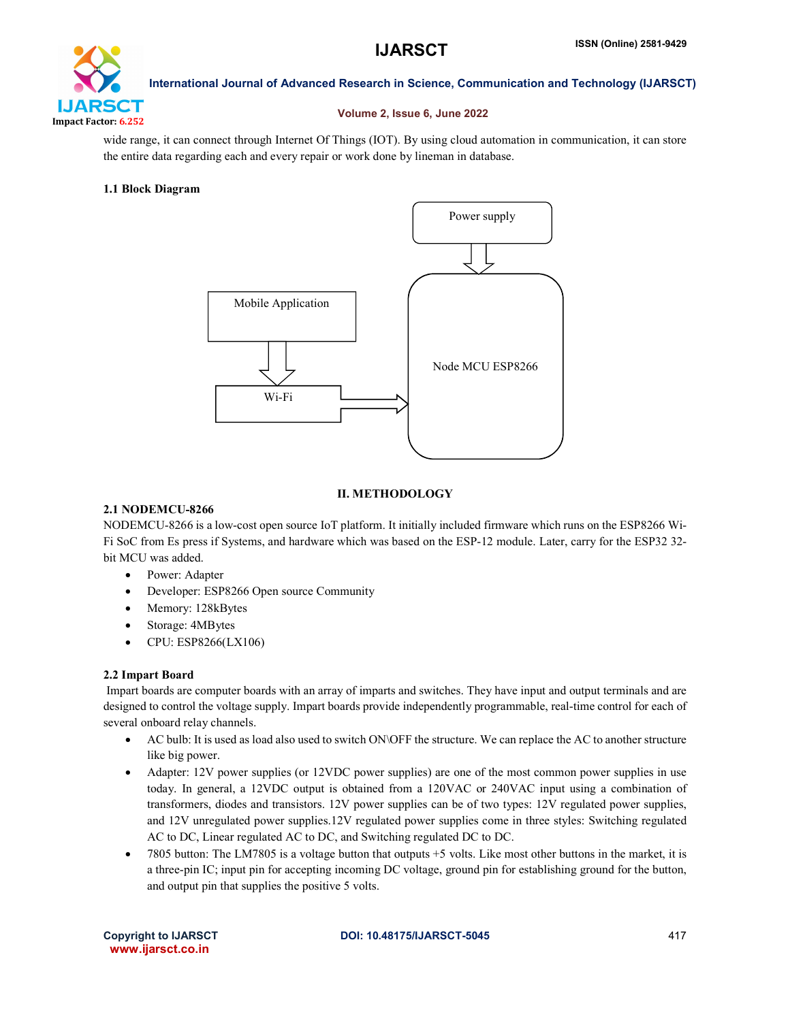

# Volume 2, Issue 6, June 2022

wide range, it can connect through Internet Of Things (IOT). By using cloud automation in communication, it can store the entire data regarding each and every repair or work done by lineman in database.

# 1.1 Block Diagram



# II. METHODOLOGY

# 2.1 NODEMCU-8266

NODEMCU-8266 is a low-cost open source IoT platform. It initially included firmware which runs on the ESP8266 Wi-Fi SoC from Es press if Systems, and hardware which was based on the ESP-12 module. Later, carry for the ESP32 32 bit MCU was added.

- Power: Adapter
- Developer: ESP8266 Open source Community
- Memory: 128kBytes
- Storage: 4MBytes
- CPU: ESP8266(LX106)

#### 2.2 Impart Board

Impart boards are computer boards with an array of imparts and switches. They have input and output terminals and are designed to control the voltage supply. Impart boards provide independently programmable, real-time control for each of several onboard relay channels.

- AC bulb: It is used as load also used to switch ON\OFF the structure. We can replace the AC to another structure like big power.
- Adapter: 12V power supplies (or 12VDC power supplies) are one of the most common power supplies in use today. In general, a 12VDC output is obtained from a 120VAC or 240VAC input using a combination of transformers, diodes and transistors. 12V power supplies can be of two types: 12V regulated power supplies, and 12V unregulated power supplies.12V regulated power supplies come in three styles: Switching regulated AC to DC, Linear regulated AC to DC, and Switching regulated DC to DC.
- 7805 button: The LM7805 is a voltage button that outputs +5 volts. Like most other buttons in the market, it is a three-pin IC; input pin for accepting incoming DC voltage, ground pin for establishing ground for the button, and output pin that supplies the positive 5 volts.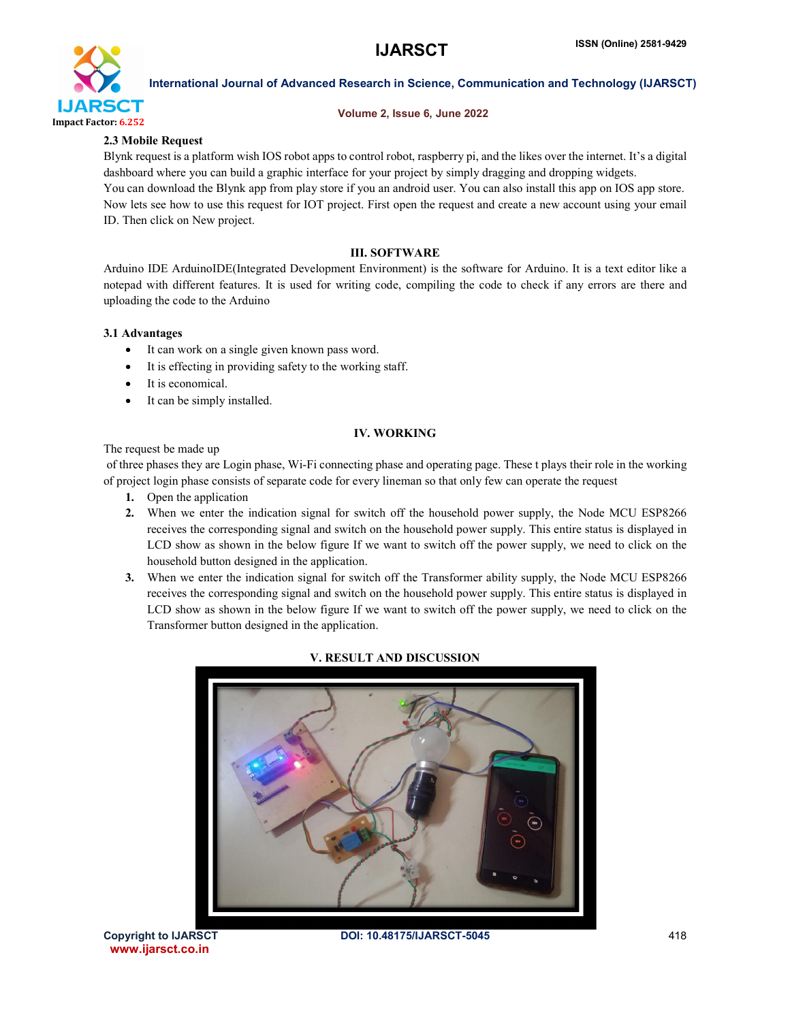

# Volume 2, Issue 6, June 2022

# 2.3 Mobile Request

Blynk request is a platform wish IOS robot apps to control robot, raspberry pi, and the likes over the internet. It's a digital dashboard where you can build a graphic interface for your project by simply dragging and dropping widgets. You can download the Blynk app from play store if you an android user. You can also install this app on IOS app store. Now lets see how to use this request for IOT project. First open the request and create a new account using your email ID. Then click on New project.

# III. SOFTWARE

Arduino IDE ArduinoIDE(Integrated Development Environment) is the software for Arduino. It is a text editor like a notepad with different features. It is used for writing code, compiling the code to check if any errors are there and uploading the code to the Arduino

# 3.1 Advantages

- It can work on a single given known pass word.
- It is effecting in providing safety to the working staff.
- It is economical.
- It can be simply installed.

# IV. WORKING

The request be made up

of three phases they are Login phase, Wi-Fi connecting phase and operating page. These t plays their role in the working of project login phase consists of separate code for every lineman so that only few can operate the request

- 1. Open the application
- 2. When we enter the indication signal for switch off the household power supply, the Node MCU ESP8266 receives the corresponding signal and switch on the household power supply. This entire status is displayed in LCD show as shown in the below figure If we want to switch off the power supply, we need to click on the household button designed in the application.
- 3. When we enter the indication signal for switch off the Transformer ability supply, the Node MCU ESP8266 receives the corresponding signal and switch on the household power supply. This entire status is displayed in LCD show as shown in the below figure If we want to switch off the power supply, we need to click on the Transformer button designed in the application.



# V. RESULT AND DISCUSSION

www.ijarsct.co.in

Copyright to IJARSCT **DOI: 10.48175/IJARSCT-5045** 418